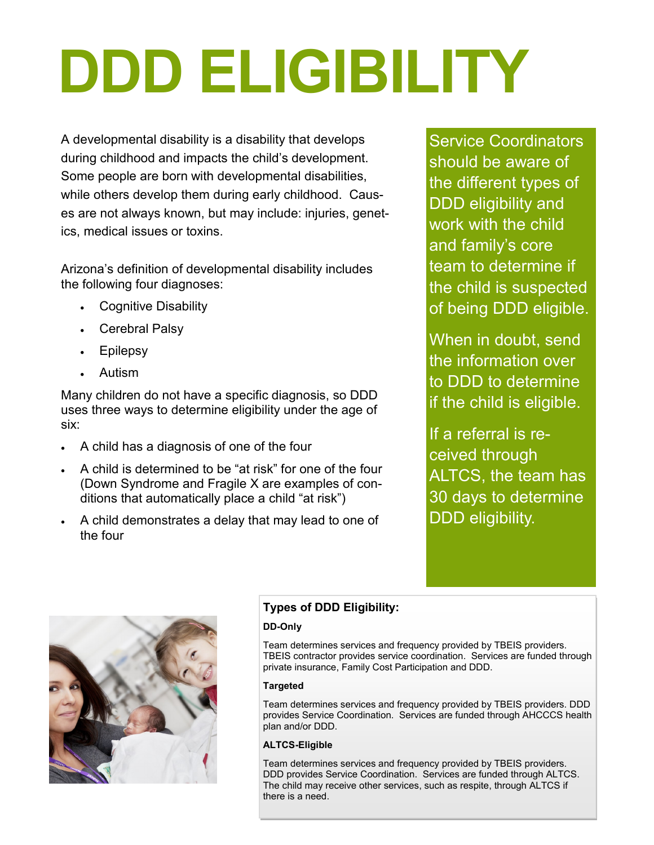# **DDD ELIGIBILITY**

A developmental disability is a disability that develops during childhood and impacts the child's development. Some people are born with developmental disabilities, while others develop them during early childhood. Causes are not always known, but may include: injuries, genetics, medical issues or toxins.

Arizona's definition of developmental disability includes the following four diagnoses:

- Cognitive Disability
- Cerebral Palsy
- Epilepsy
- Autism

Many children do not have a specific diagnosis, so DDD uses three ways to determine eligibility under the age of six:

- A child has a diagnosis of one of the four
- A child is determined to be "at risk" for one of the four (Down Syndrome and Fragile X are examples of conditions that automatically place a child "at risk")
- A child demonstrates a delay that may lead to one of the four

Service Coordinators should be aware of the different types of DDD eligibility and work with the child and family's core team to determine if the child is suspected of being DDD eligible.

When in doubt, send the information over to DDD to determine if the child is eligible.

If a referral is received through ALTCS, the team has 30 days to determine DDD eligibility.



# **Types of DDD Eligibility:**

### **DD-Only**

Team determines services and frequency provided by TBEIS providers. TBEIS contractor provides service coordination. Services are funded through private insurance, Family Cost Participation and DDD.

### **Targeted**

Team determines services and frequency provided by TBEIS providers. DDD provides Service Coordination. Services are funded through AHCCCS health plan and/or DDD.

### **ALTCS-Eligible**

Team determines services and frequency provided by TBEIS providers. DDD provides Service Coordination. Services are funded through ALTCS. The child may receive other services, such as respite, through ALTCS if there is a need.